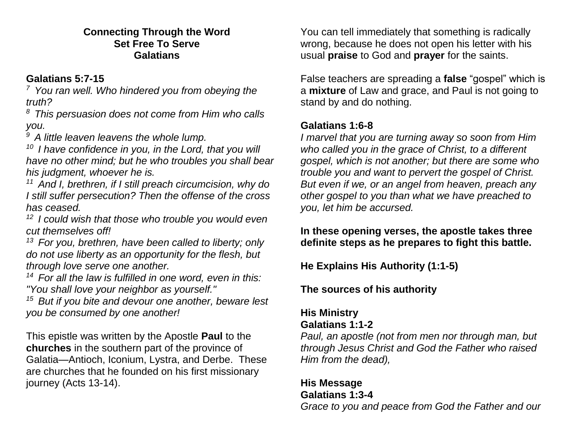#### **Connecting Through the Word Set Free To Serve Galatians**

# **Galatians 5:7-15**

*<sup>7</sup>You ran well. Who hindered you from obeying the truth?* 

*<sup>8</sup>This persuasion does not come from Him who calls you.* 

*<sup>9</sup>A little leaven leavens the whole lump.* 

*<sup>10</sup>I have confidence in you, in the Lord, that you will have no other mind; but he who troubles you shall bear his judgment, whoever he is.* 

*<sup>11</sup>And I, brethren, if I still preach circumcision, why do I still suffer persecution? Then the offense of the cross has ceased.* 

*<sup>12</sup>I could wish that those who trouble you would even cut themselves off!* 

*<sup>13</sup>For you, brethren, have been called to liberty; only do not use liberty as an opportunity for the flesh, but through love serve one another.* 

*<sup>14</sup>For all the law is fulfilled in one word, even in this: "You shall love your neighbor as yourself."*

*<sup>15</sup>But if you bite and devour one another, beware lest you be consumed by one another!*

This epistle was written by the Apostle **Paul** to the **churches** in the southern part of the province of Galatia—Antioch, Iconium, Lystra, and Derbe. These are churches that he founded on his first missionary journey [\(Acts 13-14\)](http://www.crossbooks.com/verse.asp?ref=Ac+13-14).

You can tell immediately that something is radically wrong, because he does not open his letter with his usual **praise** to God and **prayer** for the saints.

False teachers are spreading a **false** "gospel" which is a **mixture** of Law and grace, and Paul is not going to stand by and do nothing.

## **Galatians 1:6-8**

*I marvel that you are turning away so soon from Him who called you in the grace of Christ, to a different gospel, which is not another; but there are some who trouble you and want to pervert the gospel of Christ. But even if we, or an angel from heaven, preach any other gospel to you than what we have preached to you, let him be accursed.*

### **In these opening verses, the apostle takes three definite steps as he prepares to fight this battle.**

**He Explains His Authority (1:1-5)** 

**The sources of his authority**

#### **His Ministry Galatians 1:1-2**

*Paul, an apostle (not from men nor through man, but through Jesus Christ and God the Father who raised Him from the dead),*

#### **His Message Galatians 1:3-4**

*Grace to you and peace from God the Father and our*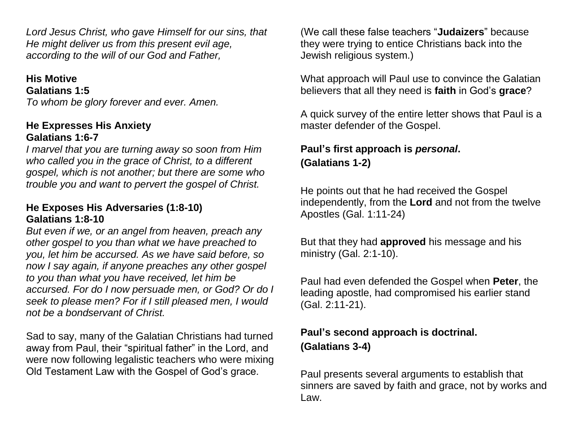*Lord Jesus Christ, who gave Himself for our sins, that He might deliver us from this present evil age, according to the will of our God and Father,*

## **His Motive**

**Galatians 1:5**  *To whom be glory forever and ever. Amen.*

#### **He Expresses His Anxiety Galatians 1:6-7**

*I marvel that you are turning away so soon from Him who called you in the grace of Christ, to a different gospel, which is not another; but there are some who trouble you and want to pervert the gospel of Christ.*

### **He Exposes His Adversaries (1:8-10) Galatians 1:8-10**

*But even if we, or an angel from heaven, preach any other gospel to you than what we have preached to you, let him be accursed. As we have said before, so now I say again, if anyone preaches any other gospel to you than what you have received, let him be accursed. For do I now persuade men, or God? Or do I seek to please men? For if I still pleased men, I would not be a bondservant of Christ.*

Sad to say, many of the Galatian Christians had turned away from Paul, their "spiritual father" in the Lord, and were now following legalistic teachers who were mixing Old Testament Law with the Gospel of God's grace.

(We call these false teachers "**Judaizers**" because they were trying to entice Christians back into the Jewish religious system.)

What approach will Paul use to convince the Galatian believers that all they need is **faith** in God's **grace**?

A quick survey of the entire letter shows that Paul is a master defender of the Gospel.

# **Paul's first approach is** *personal***. (Galatians 1-2)**

He points out that he had received the Gospel independently, from the **Lord** and not from the twelve Apostles (Gal. 1:11-24)

But that they had **approved** his message and his ministry (Gal. 2:1-10).

Paul had even defended the Gospel when **Peter**, the leading apostle, had compromised his earlier stand (Gal. 2:11-21).

# **Paul's second approach is doctrinal. (Galatians 3-4)**

Paul presents several arguments to establish that sinners are saved by faith and grace, not by works and Law.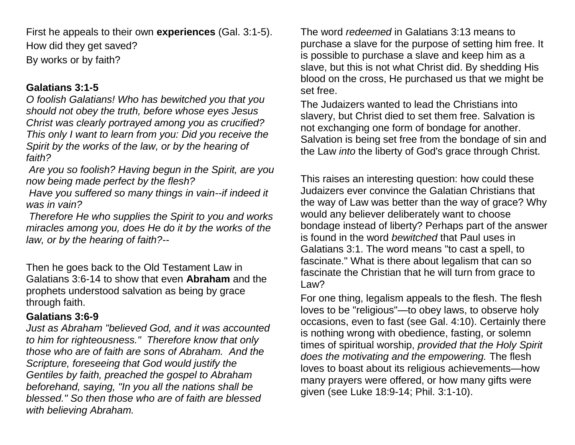First he appeals to their own **experiences** (Gal. 3:1-5). How did they get saved? By works or by faith?

### **Galatians 3:1-5**

*O foolish Galatians! Who has bewitched you that you should not obey the truth, before whose eyes Jesus Christ was clearly portrayed among you as crucified? This only I want to learn from you: Did you receive the Spirit by the works of the law, or by the hearing of faith?* 

*Are you so foolish? Having begun in the Spirit, are you now being made perfect by the flesh?* 

*Have you suffered so many things in vain--if indeed it was in vain?* 

*Therefore He who supplies the Spirit to you and works miracles among you, does He do it by the works of the law, or by the hearing of faith?--*

Then he goes back to the Old Testament Law in Galatians 3:6-14 to show that even **Abraham** and the prophets understood salvation as being by grace through faith.

### **Galatians 3:6-9**

*Just as Abraham "believed God, and it was accounted to him for righteousness." Therefore know that only those who are of faith are sons of Abraham. And the Scripture, foreseeing that God would justify the Gentiles by faith, preached the gospel to Abraham beforehand, saying, "In you all the nations shall be blessed." So then those who are of faith are blessed with believing Abraham.*

The word *redeemed* in [Galatians 3:13](http://www.crossbooks.com/verse.asp?ref=Gal+3%3A13) means to purchase a slave for the purpose of setting him free. It is possible to purchase a slave and keep him as a slave, but this is not what Christ did. By shedding His blood on the cross, He purchased us that we might be set free.

The Judaizers wanted to lead the Christians into slavery, but Christ died to set them free. Salvation is not exchanging one form of bondage for another. Salvation is being set free from the bondage of sin and the Law *into* the liberty of God's grace through Christ.

This raises an interesting question: how could these Judaizers ever convince the Galatian Christians that the way of Law was better than the way of grace? Why would any believer deliberately want to choose bondage instead of liberty? Perhaps part of the answer is found in the word *bewitched* that Paul uses in [Galatians 3:1.](http://www.crossbooks.com/verse.asp?ref=Gal+3%3A1) The word means "to cast a spell, to fascinate." What is there about legalism that can so fascinate the Christian that he will turn from grace to Law?

For one thing, legalism appeals to the flesh. The flesh loves to be "religious"—to obey laws, to observe holy occasions, even to fast (see [Gal. 4:10\)](http://www.crossbooks.com/verse.asp?ref=Gal+4%3A10). Certainly there is nothing wrong with obedience, fasting, or solemn times of spiritual worship, *provided that the Holy Spirit does the motivating and the empowering.* The flesh loves to boast about its religious achievements—how many prayers were offered, or how many gifts were given (see [Luke 18:9-14;](http://www.crossbooks.com/verse.asp?ref=Lk+18%3A9-14) [Phil. 3:1-10\)](http://www.crossbooks.com/verse.asp?ref=Php+3%3A1-10).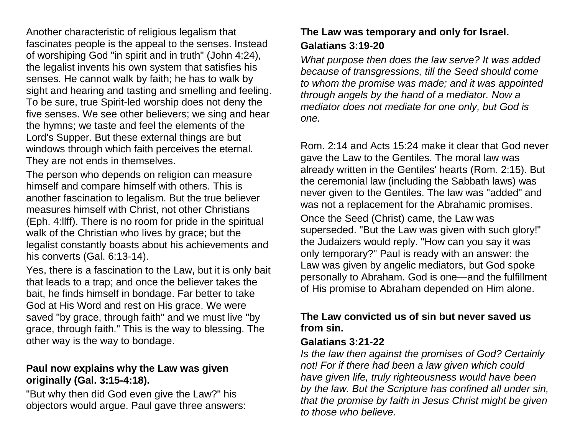Another characteristic of religious legalism that fascinates people is the appeal to the senses. Instead of worshiping God "in spirit and in truth" [\(John 4:24\)](http://www.crossbooks.com/verse.asp?ref=Jn+4%3A24), the legalist invents his own system that satisfies his senses. He cannot walk by faith; he has to walk by sight and hearing and tasting and smelling and feeling. To be sure, true Spirit-led worship does not deny the five senses. We see other believers; we sing and hear the hymns; we taste and feel the elements of the Lord's Supper. But these external things are but windows through which faith perceives the eternal. They are not ends in themselves.

The person who depends on religion can measure himself and compare himself with others. This is another fascination to legalism. But the true believer measures himself with Christ, not other Christians [\(Eph. 4:llff\)](http://www.crossbooks.com/verse.asp?ref=Eph+4). There is no room for pride in the spiritual walk of the Christian who lives by grace; but the legalist constantly boasts about his achievements and his converts [\(Gal. 6:13-14\)](http://www.crossbooks.com/verse.asp?ref=Gal+6%3A13-14).

Yes, there is a fascination to the Law, but it is only bait that leads to a trap; and once the believer takes the bait, he finds himself in bondage. Far better to take God at His Word and rest on His grace. We were saved "by grace, through faith" and we must live "by grace, through faith." This is the way to blessing. The other way is the way to bondage.

### **Paul now explains why the Law was given originally (Gal. 3:15-4:18).**

"But why then did God even give the Law?" his objectors would argue. Paul gave three answers:

# **The Law was temporary and only for Israel.**

#### **Galatians 3:19-20**

*What purpose then does the law serve? It was added because of transgressions, till the Seed should come to whom the promise was made; and it was appointed through angels by the hand of a mediator. Now a mediator does not mediate for one only, but God is one.*

[Rom. 2:14](http://www.crossbooks.com/verse.asp?ref=Ro+2%3A14) and [Acts 15:24](http://www.crossbooks.com/verse.asp?ref=Ac+15%3A24) make it clear that God never gave the Law to the Gentiles. The moral law was already written in the Gentiles' hearts [\(Rom. 2:15\)](http://www.crossbooks.com/verse.asp?ref=Ro+2%3A15). But the ceremonial law (including the Sabbath laws) was never given to the Gentiles. The law was "added" and was not a replacement for the Abrahamic promises. Once the Seed (Christ) came, the Law was superseded. "But the Law was given with such glory!" the Judaizers would reply. "How can you say it was only temporary?" Paul is ready with an answer: the Law was given by angelic mediators, but God spoke personally to Abraham. God is one—and the fulfillment of His promise to Abraham depended on Him alone.

## **The Law convicted us of sin but never saved us from sin.**

### **Galatians 3:21-22**

*Is the law then against the promises of God? Certainly not! For if there had been a law given which could have given life, truly righteousness would have been by the law. But the Scripture has confined all under sin, that the promise by faith in Jesus Christ might be given to those who believe.*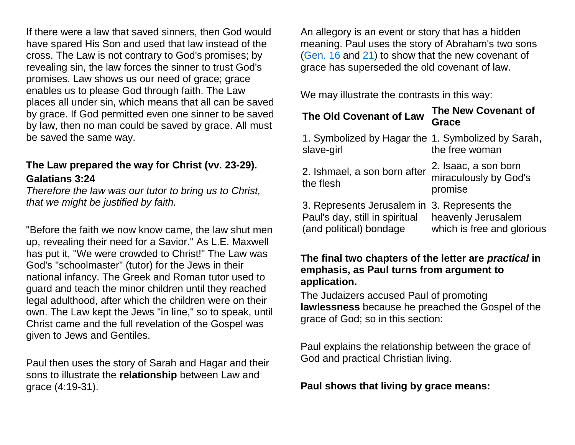If there were a law that saved sinners, then God would have spared His Son and used that law instead of the cross. The Law is not contrary to God's promises; by revealing sin, the law forces the sinner to trust God's promises. Law shows us our need of grace; grace enables us to please God through faith. The Law places all under sin, which means that all can be saved by grace. If God permitted even one sinner to be saved by law, then no man could be saved by grace. All must be saved the same way.

# **The Law prepared the way for Christ [\(vv. 23-29\)](http://www.crossbooks.com/verse.asp?ref=Gal+3%3A23-29). Galatians 3:24**

*Therefore the law was our tutor to bring us to Christ, that we might be justified by faith.*

"Before the faith we now know came, the law shut men up, revealing their need for a Savior." As L.E. Maxwell has put it, "We were crowded to Christ!" The Law was God's "schoolmaster" (tutor) for the Jews in their national infancy. The Greek and Roman tutor used to guard and teach the minor children until they reached legal adulthood, after which the children were on their own. The Law kept the Jews "in line," so to speak, until Christ came and the full revelation of the Gospel was given to Jews and Gentiles.

Paul then uses the story of Sarah and Hagar and their sons to illustrate the **relationship** between Law and grace (4:19-31).

An allegory is an event or story that has a hidden meaning. Paul uses the story of Abraham's two sons [\(Gen. 16](http://www.crossbooks.com/verse.asp?ref=Ge+16) and [21\)](http://www.crossbooks.com/verse.asp?ref=Ge+21) to show that the new covenant of grace has superseded the old covenant of law.

We may illustrate the contrasts in this way:

| The Old Covenant of Law                                                                                   | <b>The New Covenant of</b><br><b>Grace</b>               |
|-----------------------------------------------------------------------------------------------------------|----------------------------------------------------------|
| 1. Symbolized by Hagar the 1. Symbolized by Sarah,<br>slave-girl                                          | the free woman                                           |
| 2. Ishmael, a son born after<br>the flesh                                                                 | 2. Isaac, a son born<br>miraculously by God's<br>promise |
| 3. Represents Jerusalem in 3. Represents the<br>Paul's day, still in spiritual<br>(and political) bondage | heavenly Jerusalem<br>which is free and glorious         |

### **The final two chapters of the letter are** *practical* **in emphasis, as Paul turns from argument to application.**

The Judaizers accused Paul of promoting **lawlessness** because he preached the Gospel of the grace of God; so in this section:

Paul explains the relationship between the grace of God and practical Christian living.

**Paul shows that living by grace means:**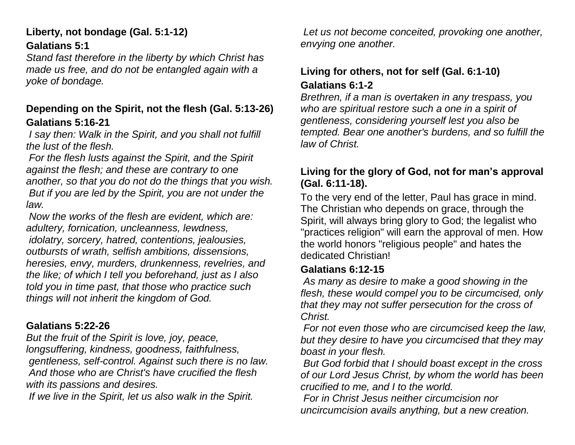# **Liberty, not bondage (Gal. 5:1-12)**

# **Galatians 5:1**

*Stand fast therefore in the liberty by which Christ has made us free, and do not be entangled again with a yoke of bondage.*

# **Depending on the Spirit, not the flesh (Gal. 5:13-26) Galatians 5:16-21**

*I say then: Walk in the Spirit, and you shall not fulfill the lust of the flesh.* 

*For the flesh lusts against the Spirit, and the Spirit against the flesh; and these are contrary to one another, so that you do not do the things that you wish. But if you are led by the Spirit, you are not under the law.* 

*Now the works of the flesh are evident, which are: adultery, fornication, uncleanness, lewdness, idolatry, sorcery, hatred, contentions, jealousies, outbursts of wrath, selfish ambitions, dissensions, heresies, envy, murders, drunkenness, revelries, and the like; of which I tell you beforehand, just as I also told you in time past, that those who practice such things will not inherit the kingdom of God.*

# **Galatians 5:22-26**

*But the fruit of the Spirit is love, joy, peace, longsuffering, kindness, goodness, faithfulness, gentleness, self-control. Against such there is no law. And those who are Christ's have crucified the flesh with its passions and desires.* 

*If we live in the Spirit, let us also walk in the Spirit.* 

*Let us not become conceited, provoking one another, envying one another.*

# **Living for others, not for self (Gal. 6:1-10) Galatians 6:1-2**

*Brethren, if a man is overtaken in any trespass, you who are spiritual restore such a one in a spirit of gentleness, considering yourself lest you also be tempted. Bear one another's burdens, and so fulfill the law of Christ.*

# **Living for the glory of God, not for man's approval (Gal. 6:11-18).**

To the very end of the letter, Paul has grace in mind. The Christian who depends on grace, through the Spirit, will always bring glory to God; the legalist who "practices religion" will earn the approval of men. How the world honors "religious people" and hates the dedicated Christian!

# **Galatians 6:12-15**

*As many as desire to make a good showing in the flesh, these would compel you to be circumcised, only that they may not suffer persecution for the cross of Christ.* 

*For not even those who are circumcised keep the law, but they desire to have you circumcised that they may boast in your flesh.* 

*But God forbid that I should boast except in the cross of our Lord Jesus Christ, by whom the world has been crucified to me, and I to the world.* 

*For in Christ Jesus neither circumcision nor uncircumcision avails anything, but a new creation.*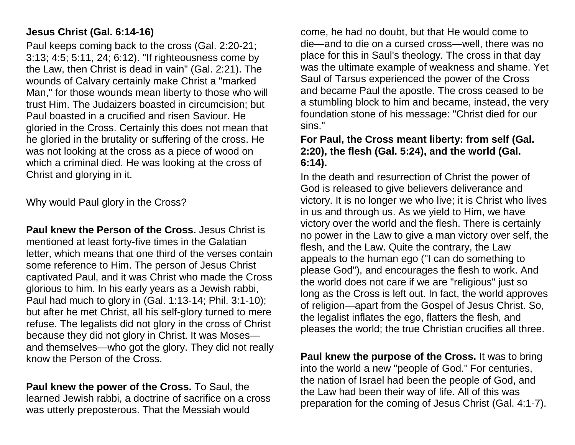# **Jesus Christ (Gal. 6:14-16)**

Paul keeps coming back to the cross [\(Gal. 2:20-21;](http://www.crossbooks.com/verse.asp?ref=Gal+2%3A20-21) [3:13;](http://www.crossbooks.com/verse.asp?ref=Gal+3%3A13) [4:5;](http://www.crossbooks.com/verse.asp?ref=Gal+4%3A5) [5:11,](http://www.crossbooks.com/verse.asp?ref=Gal+5%3A11) [24;](http://www.crossbooks.com/verse.asp?ref=Gal+5%3A24) [6:12\)](http://www.crossbooks.com/verse.asp?ref=Gal+6%3A12). "If righteousness come by the Law, then Christ is dead in vain" [\(Gal. 2:21\)](http://www.crossbooks.com/verse.asp?ref=Gal+2%3A21). The wounds of Calvary certainly make Christ a "marked Man," for those wounds mean liberty to those who will trust Him. The Judaizers boasted in circumcision; but Paul boasted in a crucified and risen Saviour. He gloried in the Cross. Certainly this does not mean that he gloried in the brutality or suffering of the cross. He was not looking at the cross as a piece of wood on which a criminal died. He was looking at the cross of Christ and glorying in it.

Why would Paul glory in the Cross?

**Paul knew the Person of the Cross.** Jesus Christ is mentioned at least forty-five times in the Galatian letter, which means that one third of the verses contain some reference to Him. The person of Jesus Christ captivated Paul, and it was Christ who made the Cross glorious to him. In his early years as a Jewish rabbi, Paul had much to glory in [\(Gal. 1:13-14;](http://www.crossbooks.com/verse.asp?ref=Gal+1%3A13-14) [Phil. 3:1-10\)](http://www.crossbooks.com/verse.asp?ref=Php+3%3A1-10); but after he met Christ, all his self-glory turned to mere refuse. The legalists did not glory in the cross of Christ because they did not glory in Christ. It was Moses and themselves—who got the glory. They did not really know the Person of the Cross.

**Paul knew the power of the Cross.** To Saul, the learned Jewish rabbi, a doctrine of sacrifice on a cross was utterly preposterous. That the Messiah would

come, he had no doubt, but that He would come to die—and to die on a cursed cross—well, there was no place for this in Saul's theology. The cross in that day was the ultimate example of weakness and shame. Yet Saul of Tarsus experienced the power of the Cross and became Paul the apostle. The cross ceased to be a stumbling block to him and became, instead, the very foundation stone of his message: "Christ died for our sins."

### **For Paul, the Cross meant liberty: from self [\(Gal.](http://www.crossbooks.com/verse.asp?ref=Gal+2%3A20)  [2:20\)](http://www.crossbooks.com/verse.asp?ref=Gal+2%3A20), the flesh [\(Gal. 5:24\)](http://www.crossbooks.com/verse.asp?ref=Gal+5%3A24), and the world [\(Gal.](http://www.crossbooks.com/verse.asp?ref=Gal+6%3A14)  [6:14\)](http://www.crossbooks.com/verse.asp?ref=Gal+6%3A14).**

In the death and resurrection of Christ the power of God is released to give believers deliverance and victory. It is no longer we who live; it is Christ who lives in us and through us. As we yield to Him, we have victory over the world and the flesh. There is certainly no power in the Law to give a man victory over self, the flesh, and the Law. Quite the contrary, the Law appeals to the human ego ("I can do something to please God"), and encourages the flesh to work. And the world does not care if we are "religious" just so long as the Cross is left out. In fact, the world approves of religion—apart from the Gospel of Jesus Christ. So, the legalist inflates the ego, flatters the flesh, and pleases the world; the true Christian crucifies all three.

**Paul knew the purpose of the Cross.** It was to bring into the world a new "people of God." For centuries, the nation of Israel had been the people of God, and the Law had been their way of life. All of this was preparation for the coming of Jesus Christ [\(Gal. 4:1-7\)](http://www.crossbooks.com/verse.asp?ref=Gal+4%3A1-7).